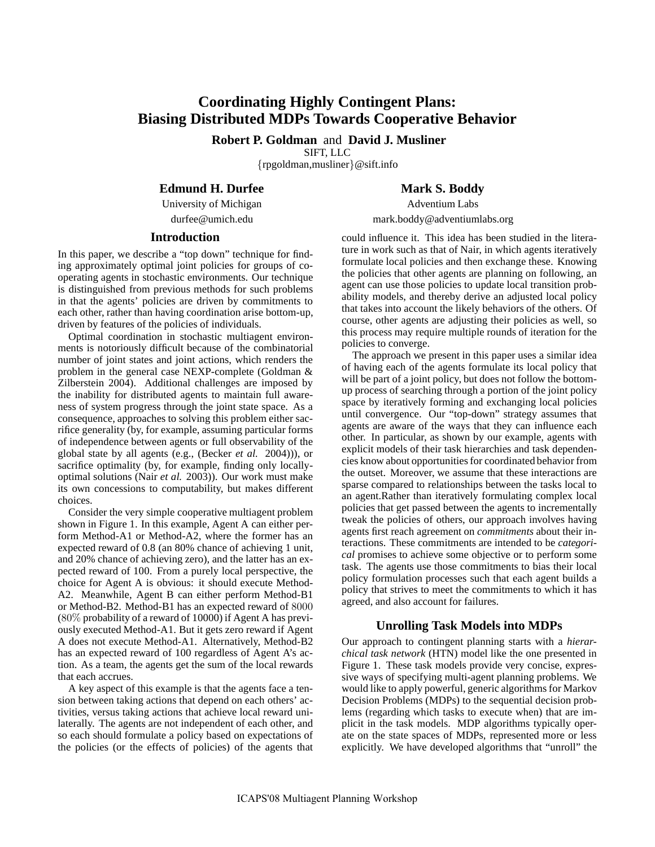# **Coordinating Highly Contingent Plans: Biasing Distributed MDPs Towards Cooperative Behavior**

**Robert P. Goldman** and **David J. Musliner** SIFT, LLC

{rpgoldman,musliner}@sift.info

# **Edmund H. Durfee**

University of Michigan durfee@umich.edu

# **Introduction**

In this paper, we describe a "top down" technique for finding approximately optimal joint policies for groups of cooperating agents in stochastic environments. Our technique is distinguished from previous methods for such problems in that the agents' policies are driven by commitments to each other, rather than having coordination arise bottom-up, driven by features of the policies of individuals.

Optimal coordination in stochastic multiagent environments is notoriously difficult because of the combinatorial number of joint states and joint actions, which renders the problem in the general case NEXP-complete (Goldman & Zilberstein 2004). Additional challenges are imposed by the inability for distributed agents to maintain full awareness of system progress through the joint state space. As a consequence, approaches to solving this problem either sacrifice generality (by, for example, assuming particular forms of independence between agents or full observability of the global state by all agents (e.g., (Becker *et al.* 2004))), or sacrifice optimality (by, for example, finding only locallyoptimal solutions (Nair *et al.* 2003)). Our work must make its own concessions to computability, but makes different choices.

Consider the very simple cooperative multiagent problem shown in Figure 1. In this example, Agent A can either perform Method-A1 or Method-A2, where the former has an expected reward of 0.8 (an 80% chance of achieving 1 unit, and 20% chance of achieving zero), and the latter has an expected reward of 100. From a purely local perspective, the choice for Agent A is obvious: it should execute Method-A2. Meanwhile, Agent B can either perform Method-B1 or Method-B2. Method-B1 has an expected reward of 8000 (80% probability of a reward of 10000) if Agent A has previously executed Method-A1. But it gets zero reward if Agent A does not execute Method-A1. Alternatively, Method-B2 has an expected reward of 100 regardless of Agent A's action. As a team, the agents get the sum of the local rewards that each accrues.

A key aspect of this example is that the agents face a tension between taking actions that depend on each others' activities, versus taking actions that achieve local reward unilaterally. The agents are not independent of each other, and so each should formulate a policy based on expectations of the policies (or the effects of policies) of the agents that

# **Mark S. Boddy**

Adventium Labs mark.boddy@adventiumlabs.org

could influence it. This idea has been studied in the literature in work such as that of Nair, in which agents iteratively formulate local policies and then exchange these. Knowing the policies that other agents are planning on following, an agent can use those policies to update local transition probability models, and thereby derive an adjusted local policy that takes into account the likely behaviors of the others. Of course, other agents are adjusting their policies as well, so this process may require multiple rounds of iteration for the policies to converge.

The approach we present in this paper uses a similar idea of having each of the agents formulate its local policy that will be part of a joint policy, but does not follow the bottomup process of searching through a portion of the joint policy space by iteratively forming and exchanging local policies until convergence. Our "top-down" strategy assumes that agents are aware of the ways that they can influence each other. In particular, as shown by our example, agents with explicit models of their task hierarchies and task dependencies know about opportunities for coordinated behavior from the outset. Moreover, we assume that these interactions are sparse compared to relationships between the tasks local to an agent.Rather than iteratively formulating complex local policies that get passed between the agents to incrementally tweak the policies of others, our approach involves having agents first reach agreement on *commitments* about their interactions. These commitments are intended to be *categorical* promises to achieve some objective or to perform some task. The agents use those commitments to bias their local policy formulation processes such that each agent builds a policy that strives to meet the commitments to which it has agreed, and also account for failures.

# **Unrolling Task Models into MDPs**

Our approach to contingent planning starts with a *hierarchical task network* (HTN) model like the one presented in Figure 1. These task models provide very concise, expressive ways of specifying multi-agent planning problems. We would like to apply powerful, generic algorithms for Markov Decision Problems (MDPs) to the sequential decision problems (regarding which tasks to execute when) that are implicit in the task models. MDP algorithms typically operate on the state spaces of MDPs, represented more or less explicitly. We have developed algorithms that "unroll" the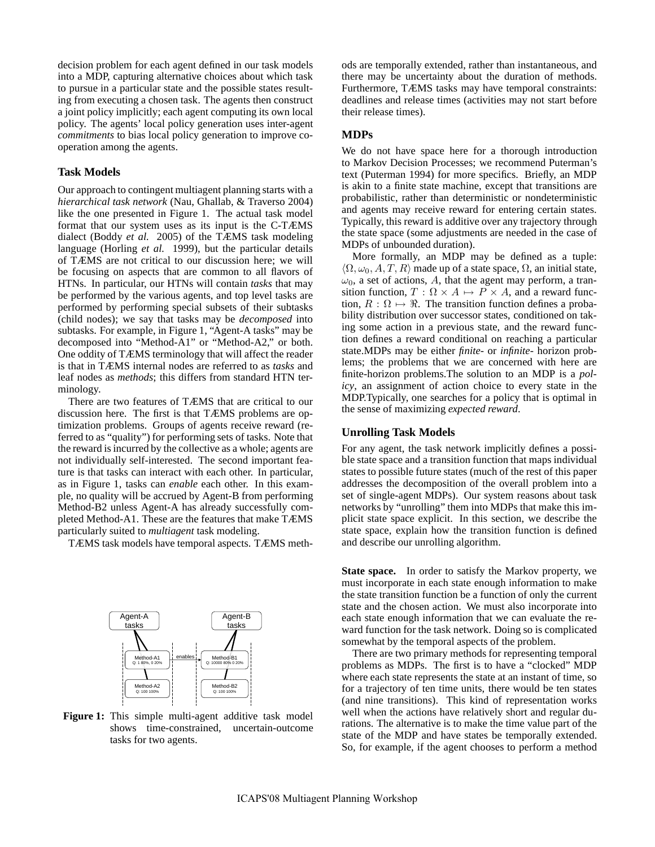decision problem for each agent defined in our task models into a MDP, capturing alternative choices about which task to pursue in a particular state and the possible states resulting from executing a chosen task. The agents then construct a joint policy implicitly; each agent computing its own local policy. The agents' local policy generation uses inter-agent *commitments* to bias local policy generation to improve cooperation among the agents.

#### **Task Models**

Our approach to contingent multiagent planning starts with a *hierarchical task network* (Nau, Ghallab, & Traverso 2004) like the one presented in Figure 1. The actual task model format that our system uses as its input is the C-TÆMS dialect (Boddy *et al.* 2005) of the TÆMS task modeling language (Horling *et al.* 1999), but the particular details of TÆMS are not critical to our discussion here; we will be focusing on aspects that are common to all flavors of HTNs. In particular, our HTNs will contain *tasks* that may be performed by the various agents, and top level tasks are performed by performing special subsets of their subtasks (child nodes); we say that tasks may be *decomposed* into subtasks. For example, in Figure 1, "Agent-A tasks" may be decomposed into "Method-A1" or "Method-A2," or both. One oddity of TÆMS terminology that will affect the reader is that in TÆMS internal nodes are referred to as *tasks* and leaf nodes as *methods*; this differs from standard HTN terminology.

There are two features of TÆMS that are critical to our discussion here. The first is that TÆMS problems are optimization problems. Groups of agents receive reward (referred to as "quality") for performing sets of tasks. Note that the reward is incurred by the collective as a whole; agents are not individually self-interested. The second important feature is that tasks can interact with each other. In particular, as in Figure 1, tasks can *enable* each other. In this example, no quality will be accrued by Agent-B from performing Method-B2 unless Agent-A has already successfully completed Method-A1. These are the features that make TÆMS particularly suited to *multiagent* task modeling.

TÆMS task models have temporal aspects. TÆMS meth-



Figure 1: This simple multi-agent additive task model shows time-constrained, uncertain-outcome tasks for two agents.

ods are temporally extended, rather than instantaneous, and there may be uncertainty about the duration of methods. Furthermore, TÆMS tasks may have temporal constraints: deadlines and release times (activities may not start before their release times).

#### **MDPs**

We do not have space here for a thorough introduction to Markov Decision Processes; we recommend Puterman's text (Puterman 1994) for more specifics. Briefly, an MDP is akin to a finite state machine, except that transitions are probabilistic, rather than deterministic or nondeterministic and agents may receive reward for entering certain states. Typically, this reward is additive over any trajectory through the state space (some adjustments are needed in the case of MDPs of unbounded duration).

More formally, an MDP may be defined as a tuple:  $\langle \Omega, \omega_0, A, T, R \rangle$  made up of a state space,  $\Omega$ , an initial state,  $\omega_0$ , a set of actions, A, that the agent may perform, a transition function,  $T : \Omega \times A \mapsto P \times A$ , and a reward function,  $R : \Omega \mapsto \Re$ . The transition function defines a probability distribution over successor states, conditioned on taking some action in a previous state, and the reward function defines a reward conditional on reaching a particular state.MDPs may be either *finite-* or *infinite-* horizon problems; the problems that we are concerned with here are finite-horizon problems.The solution to an MDP is a *policy*, an assignment of action choice to every state in the MDP.Typically, one searches for a policy that is optimal in the sense of maximizing *expected reward*.

# **Unrolling Task Models**

For any agent, the task network implicitly defines a possible state space and a transition function that maps individual states to possible future states (much of the rest of this paper addresses the decomposition of the overall problem into a set of single-agent MDPs). Our system reasons about task networks by "unrolling" them into MDPs that make this implicit state space explicit. In this section, we describe the state space, explain how the transition function is defined and describe our unrolling algorithm.

**State space.** In order to satisfy the Markov property, we must incorporate in each state enough information to make the state transition function be a function of only the current state and the chosen action. We must also incorporate into each state enough information that we can evaluate the reward function for the task network. Doing so is complicated somewhat by the temporal aspects of the problem.

There are two primary methods for representing temporal problems as MDPs. The first is to have a "clocked" MDP where each state represents the state at an instant of time, so for a trajectory of ten time units, there would be ten states (and nine transitions). This kind of representation works well when the actions have relatively short and regular durations. The alternative is to make the time value part of the state of the MDP and have states be temporally extended. So, for example, if the agent chooses to perform a method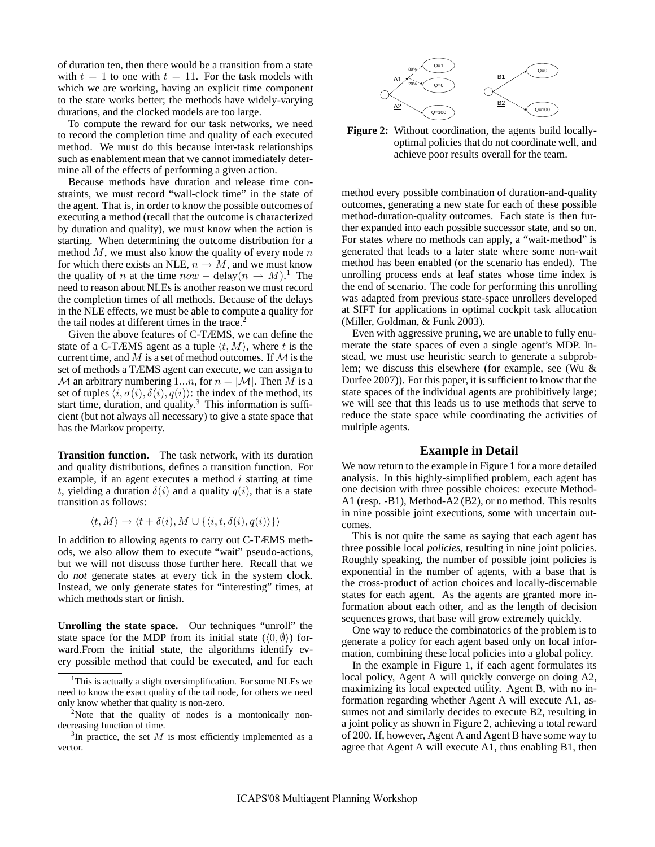of duration ten, then there would be a transition from a state with  $t = 1$  to one with  $t = 11$ . For the task models with which we are working, having an explicit time component to the state works better; the methods have widely-varying durations, and the clocked models are too large.

To compute the reward for our task networks, we need to record the completion time and quality of each executed method. We must do this because inter-task relationships such as enablement mean that we cannot immediately determine all of the effects of performing a given action.

Because methods have duration and release time constraints, we must record "wall-clock time" in the state of the agent. That is, in order to know the possible outcomes of executing a method (recall that the outcome is characterized by duration and quality), we must know when the action is starting. When determining the outcome distribution for a method  $M$ , we must also know the quality of every node  $n$ for which there exists an NLE,  $n \rightarrow M$ , and we must know the quality of *n* at the time  $now - delay(n \rightarrow M)^{1}$ . The need to reason about NLEs is another reason we must record the completion times of all methods. Because of the delays in the NLE effects, we must be able to compute a quality for the tail nodes at different times in the trace.<sup>2</sup>

Given the above features of C-TÆMS, we can define the state of a C-TÆMS agent as a tuple  $\langle t, M \rangle$ , where t is the current time, and M is a set of method outcomes. If  $\mathcal M$  is the set of methods a TÆMS agent can execute, we can assign to  $M$  an arbitrary numbering 1...*n*, for  $n = |M|$ . Then M is a set of tuples  $\langle i, \sigma(i), \delta(i), q(i)\rangle$ : the index of the method, its start time, duration, and quality.<sup>3</sup> This information is sufficient (but not always all necessary) to give a state space that has the Markov property.

**Transition function.** The task network, with its duration and quality distributions, defines a transition function. For example, if an agent executes a method  $i$  starting at time t, yielding a duration  $\delta(i)$  and a quality  $q(i)$ , that is a state transition as follows:

$$
\langle t, M \rangle \to \langle t + \delta(i), M \cup \{ \langle i, t, \delta(i), q(i) \rangle \} \rangle
$$

In addition to allowing agents to carry out C-TÆMS methods, we also allow them to execute "wait" pseudo-actions, but we will not discuss those further here. Recall that we do *not* generate states at every tick in the system clock. Instead, we only generate states for "interesting" times, at which methods start or finish.

**Unrolling the state space.** Our techniques "unroll" the state space for the MDP from its initial state ( $(0, \emptyset)$ ) forward.From the initial state, the algorithms identify every possible method that could be executed, and for each



**Figure 2:** Without coordination, the agents build locallyoptimal policies that do not coordinate well, and achieve poor results overall for the team.

method every possible combination of duration-and-quality outcomes, generating a new state for each of these possible method-duration-quality outcomes. Each state is then further expanded into each possible successor state, and so on. For states where no methods can apply, a "wait-method" is generated that leads to a later state where some non-wait method has been enabled (or the scenario has ended). The unrolling process ends at leaf states whose time index is the end of scenario. The code for performing this unrolling was adapted from previous state-space unrollers developed at SIFT for applications in optimal cockpit task allocation (Miller, Goldman, & Funk 2003).

Even with aggressive pruning, we are unable to fully enumerate the state spaces of even a single agent's MDP. Instead, we must use heuristic search to generate a subproblem; we discuss this elsewhere (for example, see (Wu & Durfee 2007)). For this paper, it is sufficient to know that the state spaces of the individual agents are prohibitively large; we will see that this leads us to use methods that serve to reduce the state space while coordinating the activities of multiple agents.

#### **Example in Detail**

We now return to the example in Figure 1 for a more detailed analysis. In this highly-simplified problem, each agent has one decision with three possible choices: execute Method-A1 (resp. -B1), Method-A2 (B2), or no method. This results in nine possible joint executions, some with uncertain outcomes.

This is not quite the same as saying that each agent has three possible local *policies*, resulting in nine joint policies. Roughly speaking, the number of possible joint policies is exponential in the number of agents, with a base that is the cross-product of action choices and locally-discernable states for each agent. As the agents are granted more information about each other, and as the length of decision sequences grows, that base will grow extremely quickly.

One way to reduce the combinatorics of the problem is to generate a policy for each agent based only on local information, combining these local policies into a global policy.

In the example in Figure 1, if each agent formulates its local policy, Agent A will quickly converge on doing A2, maximizing its local expected utility. Agent B, with no information regarding whether Agent A will execute A1, assumes not and similarly decides to execute B2, resulting in a joint policy as shown in Figure 2, achieving a total reward of 200. If, however, Agent A and Agent B have some way to agree that Agent A will execute A1, thus enabling B1, then

 $1$ This is actually a slight oversimplification. For some NLEs we need to know the exact quality of the tail node, for others we need only know whether that quality is non-zero.

 $2$ Note that the quality of nodes is a montonically nondecreasing function of time.

 $3$ In practice, the set M is most efficiently implemented as a vector.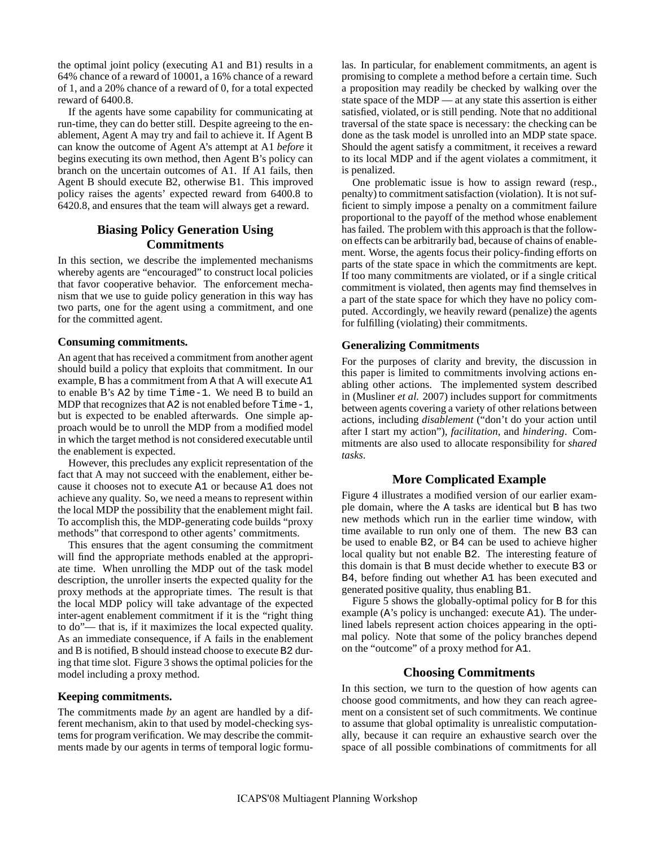the optimal joint policy (executing A1 and B1) results in a 64% chance of a reward of 10001, a 16% chance of a reward of 1, and a 20% chance of a reward of 0, for a total expected reward of 6400.8.

If the agents have some capability for communicating at run-time, they can do better still. Despite agreeing to the enablement, Agent A may try and fail to achieve it. If Agent B can know the outcome of Agent A's attempt at A1 *before* it begins executing its own method, then Agent B's policy can branch on the uncertain outcomes of A1. If A1 fails, then Agent B should execute B2, otherwise B1. This improved policy raises the agents' expected reward from 6400.8 to 6420.8, and ensures that the team will always get a reward.

# **Biasing Policy Generation Using Commitments**

In this section, we describe the implemented mechanisms whereby agents are "encouraged" to construct local policies that favor cooperative behavior. The enforcement mechanism that we use to guide policy generation in this way has two parts, one for the agent using a commitment, and one for the committed agent.

# **Consuming commitments.**

An agent that has received a commitment from another agent should build a policy that exploits that commitment. In our example, B has a commitment from A that A will execute A1 to enable B's A2 by time Time-1. We need B to build an MDP that recognizes that A2 is not enabled before Time-1, but is expected to be enabled afterwards. One simple approach would be to unroll the MDP from a modified model in which the target method is not considered executable until the enablement is expected.

However, this precludes any explicit representation of the fact that A may not succeed with the enablement, either because it chooses not to execute A1 or because A1 does not achieve any quality. So, we need a means to represent within the local MDP the possibility that the enablement might fail. To accomplish this, the MDP-generating code builds "proxy methods" that correspond to other agents' commitments.

This ensures that the agent consuming the commitment will find the appropriate methods enabled at the appropriate time. When unrolling the MDP out of the task model description, the unroller inserts the expected quality for the proxy methods at the appropriate times. The result is that the local MDP policy will take advantage of the expected inter-agent enablement commitment if it is the "right thing to do"— that is, if it maximizes the local expected quality. As an immediate consequence, if A fails in the enablement and B is notified, B should instead choose to execute B2 during that time slot. Figure 3 shows the optimal policies for the model including a proxy method.

# **Keeping commitments.**

The commitments made *by* an agent are handled by a different mechanism, akin to that used by model-checking systems for program verification. We may describe the commitments made by our agents in terms of temporal logic formulas. In particular, for enablement commitments, an agent is promising to complete a method before a certain time. Such a proposition may readily be checked by walking over the state space of the MDP — at any state this assertion is either satisfied, violated, or is still pending. Note that no additional traversal of the state space is necessary: the checking can be done as the task model is unrolled into an MDP state space. Should the agent satisfy a commitment, it receives a reward to its local MDP and if the agent violates a commitment, it is penalized.

One problematic issue is how to assign reward (resp., penalty) to commitment satisfaction (violation). It is not sufficient to simply impose a penalty on a commitment failure proportional to the payoff of the method whose enablement has failed. The problem with this approach is that the followon effects can be arbitrarily bad, because of chains of enablement. Worse, the agents focus their policy-finding efforts on parts of the state space in which the commitments are kept. If too many commitments are violated, or if a single critical commitment is violated, then agents may find themselves in a part of the state space for which they have no policy computed. Accordingly, we heavily reward (penalize) the agents for fulfilling (violating) their commitments.

# **Generalizing Commitments**

For the purposes of clarity and brevity, the discussion in this paper is limited to commitments involving actions enabling other actions. The implemented system described in (Musliner *et al.* 2007) includes support for commitments between agents covering a variety of other relations between actions, including *disablement* ("don't do your action until after I start my action"), *facilitation*, and *hindering*. Commitments are also used to allocate responsibility for *shared tasks*.

# **More Complicated Example**

Figure 4 illustrates a modified version of our earlier example domain, where the A tasks are identical but B has two new methods which run in the earlier time window, with time available to run only one of them. The new B3 can be used to enable B2, or B4 can be used to achieve higher local quality but not enable B2. The interesting feature of this domain is that B must decide whether to execute B3 or B4, before finding out whether A1 has been executed and generated positive quality, thus enabling B1.

Figure 5 shows the globally-optimal policy for B for this example (A's policy is unchanged: execute A1). The underlined labels represent action choices appearing in the optimal policy. Note that some of the policy branches depend on the "outcome" of a proxy method for A1.

# **Choosing Commitments**

In this section, we turn to the question of how agents can choose good commitments, and how they can reach agreement on a consistent set of such commitments. We continue to assume that global optimality is unrealistic computationally, because it can require an exhaustive search over the space of all possible combinations of commitments for all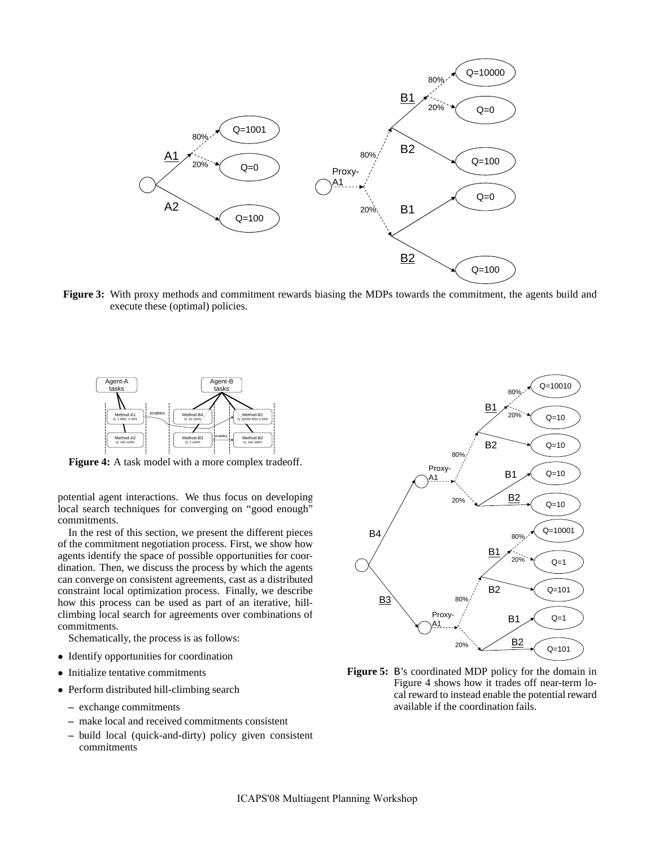

**Figure 3:** With proxy methods and commitment rewards biasing the MDPs towards the commitment, the agents build and execute these (optimal) policies.



**Figure 4:** A task model with a more complex tradeoff.

potential agent interactions. We thus focus on developing local search techniques for converging on "good enough" commitments.

In the rest of this section, we present the different pieces of the commitment negotiation process. First, we show how agents identify the space of possible opportunities for coordination. Then, we discuss the process by which the agents can converge on consistent agreements, cast as a distributed constraint local optimization process. Finally, we describe how this process can be used as part of an iterative, hillclimbing local search for agreements over combinations of commitments.

Schematically, the process is as follows:

- Identify opportunities for coordination
- Initialize tentative commitments
- Perform distributed hill-climbing search
	- **–** exchange commitments
	- **–** make local and received commitments consistent
	- **–** build local (quick-and-dirty) policy given consistent commitments



**Figure 5:** B's coordinated MDP policy for the domain in Figure 4 shows how it trades off near-term local reward to instead enable the potential reward available if the coordination fails.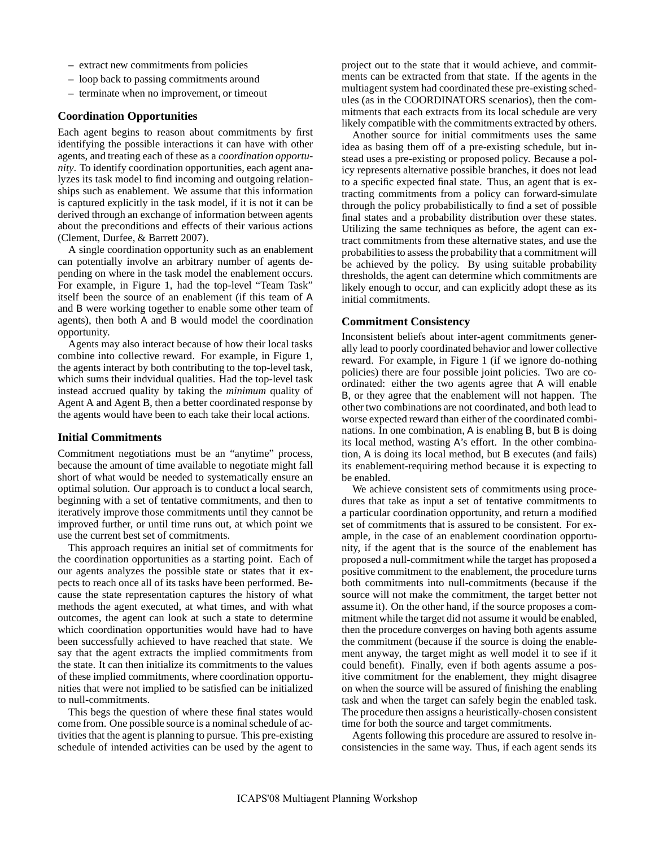- **–** extract new commitments from policies
- **–** loop back to passing commitments around
- **–** terminate when no improvement, or timeout

# **Coordination Opportunities**

Each agent begins to reason about commitments by first identifying the possible interactions it can have with other agents, and treating each of these as a *coordination opportunity*. To identify coordination opportunities, each agent analyzes its task model to find incoming and outgoing relationships such as enablement. We assume that this information is captured explicitly in the task model, if it is not it can be derived through an exchange of information between agents about the preconditions and effects of their various actions (Clement, Durfee, & Barrett 2007).

A single coordination opportunity such as an enablement can potentially involve an arbitrary number of agents depending on where in the task model the enablement occurs. For example, in Figure 1, had the top-level "Team Task" itself been the source of an enablement (if this team of A and B were working together to enable some other team of agents), then both A and B would model the coordination opportunity.

Agents may also interact because of how their local tasks combine into collective reward. For example, in Figure 1, the agents interact by both contributing to the top-level task, which sums their indvidual qualities. Had the top-level task instead accrued quality by taking the *minimum* quality of Agent A and Agent B, then a better coordinated response by the agents would have been to each take their local actions.

#### **Initial Commitments**

Commitment negotiations must be an "anytime" process, because the amount of time available to negotiate might fall short of what would be needed to systematically ensure an optimal solution. Our approach is to conduct a local search, beginning with a set of tentative commitments, and then to iteratively improve those commitments until they cannot be improved further, or until time runs out, at which point we use the current best set of commitments.

This approach requires an initial set of commitments for the coordination opportunities as a starting point. Each of our agents analyzes the possible state or states that it expects to reach once all of its tasks have been performed. Because the state representation captures the history of what methods the agent executed, at what times, and with what outcomes, the agent can look at such a state to determine which coordination opportunities would have had to have been successfully achieved to have reached that state. We say that the agent extracts the implied commitments from the state. It can then initialize its commitments to the values of these implied commitments, where coordination opportunities that were not implied to be satisfied can be initialized to null-commitments.

This begs the question of where these final states would come from. One possible source is a nominal schedule of activities that the agent is planning to pursue. This pre-existing schedule of intended activities can be used by the agent to project out to the state that it would achieve, and commitments can be extracted from that state. If the agents in the multiagent system had coordinated these pre-existing schedules (as in the COORDINATORS scenarios), then the commitments that each extracts from its local schedule are very likely compatible with the commitments extracted by others.

Another source for initial commitments uses the same idea as basing them off of a pre-existing schedule, but instead uses a pre-existing or proposed policy. Because a policy represents alternative possible branches, it does not lead to a specific expected final state. Thus, an agent that is extracting commitments from a policy can forward-simulate through the policy probabilistically to find a set of possible final states and a probability distribution over these states. Utilizing the same techniques as before, the agent can extract commitments from these alternative states, and use the probabilities to assess the probability that a commitment will be achieved by the policy. By using suitable probability thresholds, the agent can determine which commitments are likely enough to occur, and can explicitly adopt these as its initial commitments.

#### **Commitment Consistency**

Inconsistent beliefs about inter-agent commitments generally lead to poorly coordinated behavior and lower collective reward. For example, in Figure 1 (if we ignore do-nothing policies) there are four possible joint policies. Two are coordinated: either the two agents agree that A will enable B, or they agree that the enablement will not happen. The other two combinations are not coordinated, and both lead to worse expected reward than either of the coordinated combinations. In one combination, A is enabling B, but B is doing its local method, wasting A's effort. In the other combination, A is doing its local method, but B executes (and fails) its enablement-requiring method because it is expecting to be enabled.

We achieve consistent sets of commitments using procedures that take as input a set of tentative commitments to a particular coordination opportunity, and return a modified set of commitments that is assured to be consistent. For example, in the case of an enablement coordination opportunity, if the agent that is the source of the enablement has proposed a null-commitment while the target has proposed a positive commitment to the enablement, the procedure turns both commitments into null-commitments (because if the source will not make the commitment, the target better not assume it). On the other hand, if the source proposes a commitment while the target did not assume it would be enabled, then the procedure converges on having both agents assume the commitment (because if the source is doing the enablement anyway, the target might as well model it to see if it could benefit). Finally, even if both agents assume a positive commitment for the enablement, they might disagree on when the source will be assured of finishing the enabling task and when the target can safely begin the enabled task. The procedure then assigns a heuristically-chosen consistent time for both the source and target commitments.

Agents following this procedure are assured to resolve inconsistencies in the same way. Thus, if each agent sends its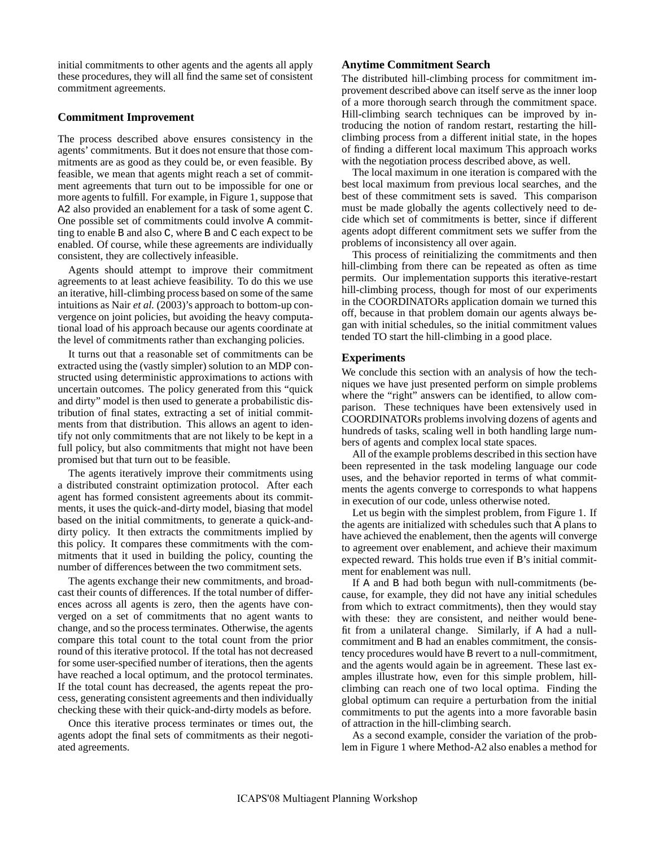initial commitments to other agents and the agents all apply these procedures, they will all find the same set of consistent commitment agreements.

# **Commitment Improvement**

The process described above ensures consistency in the agents' commitments. But it does not ensure that those commitments are as good as they could be, or even feasible. By feasible, we mean that agents might reach a set of commitment agreements that turn out to be impossible for one or more agents to fulfill. For example, in Figure 1, suppose that A2 also provided an enablement for a task of some agent C. One possible set of commitments could involve A committing to enable B and also C, where B and C each expect to be enabled. Of course, while these agreements are individually consistent, they are collectively infeasible.

Agents should attempt to improve their commitment agreements to at least achieve feasibility. To do this we use an iterative, hill-climbing process based on some of the same intuitions as Nair *et al.* (2003)'s approach to bottom-up convergence on joint policies, but avoiding the heavy computational load of his approach because our agents coordinate at the level of commitments rather than exchanging policies.

It turns out that a reasonable set of commitments can be extracted using the (vastly simpler) solution to an MDP constructed using deterministic approximations to actions with uncertain outcomes. The policy generated from this "quick and dirty" model is then used to generate a probabilistic distribution of final states, extracting a set of initial commitments from that distribution. This allows an agent to identify not only commitments that are not likely to be kept in a full policy, but also commitments that might not have been promised but that turn out to be feasible.

The agents iteratively improve their commitments using a distributed constraint optimization protocol. After each agent has formed consistent agreements about its commitments, it uses the quick-and-dirty model, biasing that model based on the initial commitments, to generate a quick-anddirty policy. It then extracts the commitments implied by this policy. It compares these commitments with the commitments that it used in building the policy, counting the number of differences between the two commitment sets.

The agents exchange their new commitments, and broadcast their counts of differences. If the total number of differences across all agents is zero, then the agents have converged on a set of commitments that no agent wants to change, and so the process terminates. Otherwise, the agents compare this total count to the total count from the prior round of this iterative protocol. If the total has not decreased for some user-specified number of iterations, then the agents have reached a local optimum, and the protocol terminates. If the total count has decreased, the agents repeat the process, generating consistent agreements and then individually checking these with their quick-and-dirty models as before.

Once this iterative process terminates or times out, the agents adopt the final sets of commitments as their negotiated agreements.

#### **Anytime Commitment Search**

The distributed hill-climbing process for commitment improvement described above can itself serve as the inner loop of a more thorough search through the commitment space. Hill-climbing search techniques can be improved by introducing the notion of random restart, restarting the hillclimbing process from a different initial state, in the hopes of finding a different local maximum This approach works with the negotiation process described above, as well.

The local maximum in one iteration is compared with the best local maximum from previous local searches, and the best of these commitment sets is saved. This comparison must be made globally the agents collectively need to decide which set of commitments is better, since if different agents adopt different commitment sets we suffer from the problems of inconsistency all over again.

This process of reinitializing the commitments and then hill-climbing from there can be repeated as often as time permits. Our implementation supports this iterative-restart hill-climbing process, though for most of our experiments in the COORDINATORs application domain we turned this off, because in that problem domain our agents always began with initial schedules, so the initial commitment values tended TO start the hill-climbing in a good place.

#### **Experiments**

We conclude this section with an analysis of how the techniques we have just presented perform on simple problems where the "right" answers can be identified, to allow comparison. These techniques have been extensively used in COORDINATORs problems involving dozens of agents and hundreds of tasks, scaling well in both handling large numbers of agents and complex local state spaces.

All of the example problems described in this section have been represented in the task modeling language our code uses, and the behavior reported in terms of what commitments the agents converge to corresponds to what happens in execution of our code, unless otherwise noted.

Let us begin with the simplest problem, from Figure 1. If the agents are initialized with schedules such that A plans to have achieved the enablement, then the agents will converge to agreement over enablement, and achieve their maximum expected reward. This holds true even if B's initial commitment for enablement was null.

If A and B had both begun with null-commitments (because, for example, they did not have any initial schedules from which to extract commitments), then they would stay with these: they are consistent, and neither would benefit from a unilateral change. Similarly, if A had a nullcommitment and B had an enables commitment, the consistency procedures would have B revert to a null-commitment, and the agents would again be in agreement. These last examples illustrate how, even for this simple problem, hillclimbing can reach one of two local optima. Finding the global optimum can require a perturbation from the initial commitments to put the agents into a more favorable basin of attraction in the hill-climbing search.

As a second example, consider the variation of the problem in Figure 1 where Method-A2 also enables a method for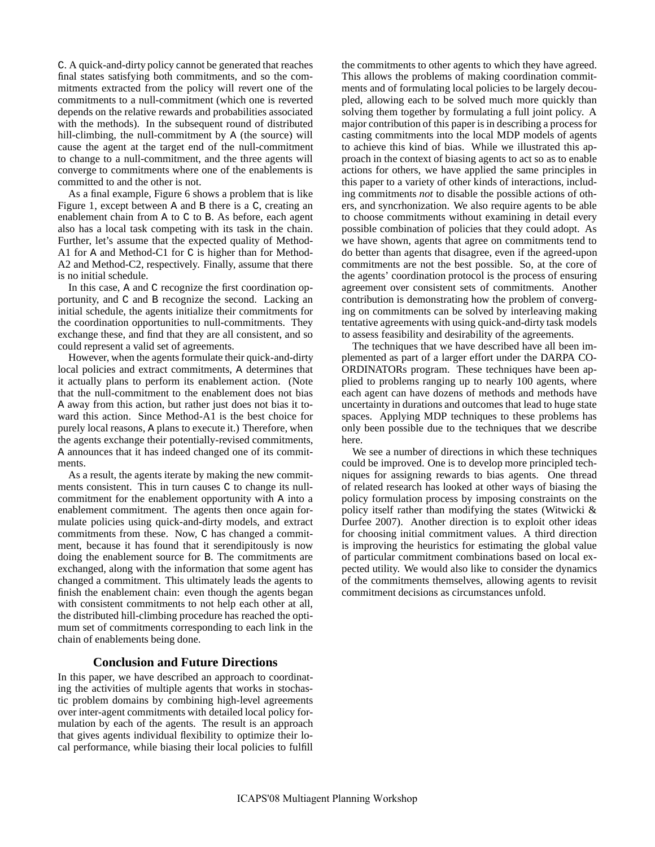C. A quick-and-dirty policy cannot be generated that reaches final states satisfying both commitments, and so the commitments extracted from the policy will revert one of the commitments to a null-commitment (which one is reverted depends on the relative rewards and probabilities associated with the methods). In the subsequent round of distributed hill-climbing, the null-commitment by A (the source) will cause the agent at the target end of the null-commitment to change to a null-commitment, and the three agents will converge to commitments where one of the enablements is committed to and the other is not.

As a final example, Figure 6 shows a problem that is like Figure 1, except between A and B there is a C, creating an enablement chain from A to C to B. As before, each agent also has a local task competing with its task in the chain. Further, let's assume that the expected quality of Method-A1 for A and Method-C1 for C is higher than for Method-A2 and Method-C2, respectively. Finally, assume that there is no initial schedule.

In this case, A and C recognize the first coordination opportunity, and C and B recognize the second. Lacking an initial schedule, the agents initialize their commitments for the coordination opportunities to null-commitments. They exchange these, and find that they are all consistent, and so could represent a valid set of agreements.

However, when the agents formulate their quick-and-dirty local policies and extract commitments, A determines that it actually plans to perform its enablement action. (Note that the null-commitment to the enablement does not bias A away from this action, but rather just does not bias it toward this action. Since Method-A1 is the best choice for purely local reasons, A plans to execute it.) Therefore, when the agents exchange their potentially-revised commitments, A announces that it has indeed changed one of its commitments.

As a result, the agents iterate by making the new commitments consistent. This in turn causes C to change its nullcommitment for the enablement opportunity with A into a enablement commitment. The agents then once again formulate policies using quick-and-dirty models, and extract commitments from these. Now, C has changed a commitment, because it has found that it serendipitously is now doing the enablement source for B. The commitments are exchanged, along with the information that some agent has changed a commitment. This ultimately leads the agents to finish the enablement chain: even though the agents began with consistent commitments to not help each other at all, the distributed hill-climbing procedure has reached the optimum set of commitments corresponding to each link in the chain of enablements being done.

# **Conclusion and Future Directions**

In this paper, we have described an approach to coordinating the activities of multiple agents that works in stochastic problem domains by combining high-level agreements over inter-agent commitments with detailed local policy formulation by each of the agents. The result is an approach that gives agents individual flexibility to optimize their local performance, while biasing their local policies to fulfill the commitments to other agents to which they have agreed. This allows the problems of making coordination commitments and of formulating local policies to be largely decoupled, allowing each to be solved much more quickly than solving them together by formulating a full joint policy. A major contribution of this paper is in describing a process for casting commitments into the local MDP models of agents to achieve this kind of bias. While we illustrated this approach in the context of biasing agents to act so as to enable actions for others, we have applied the same principles in this paper to a variety of other kinds of interactions, including commitments *not* to disable the possible actions of others, and syncrhonization. We also require agents to be able to choose commitments without examining in detail every possible combination of policies that they could adopt. As we have shown, agents that agree on commitments tend to do better than agents that disagree, even if the agreed-upon commitments are not the best possible. So, at the core of the agents' coordination protocol is the process of ensuring agreement over consistent sets of commitments. Another contribution is demonstrating how the problem of converging on commitments can be solved by interleaving making tentative agreements with using quick-and-dirty task models to assess feasibility and desirability of the agreements.

The techniques that we have described have all been implemented as part of a larger effort under the DARPA CO-ORDINATORs program. These techniques have been applied to problems ranging up to nearly 100 agents, where each agent can have dozens of methods and methods have uncertainty in durations and outcomes that lead to huge state spaces. Applying MDP techniques to these problems has only been possible due to the techniques that we describe here.

We see a number of directions in which these techniques could be improved. One is to develop more principled techniques for assigning rewards to bias agents. One thread of related research has looked at other ways of biasing the policy formulation process by imposing constraints on the policy itself rather than modifying the states (Witwicki & Durfee 2007). Another direction is to exploit other ideas for choosing initial commitment values. A third direction is improving the heuristics for estimating the global value of particular commitment combinations based on local expected utility. We would also like to consider the dynamics of the commitments themselves, allowing agents to revisit commitment decisions as circumstances unfold.